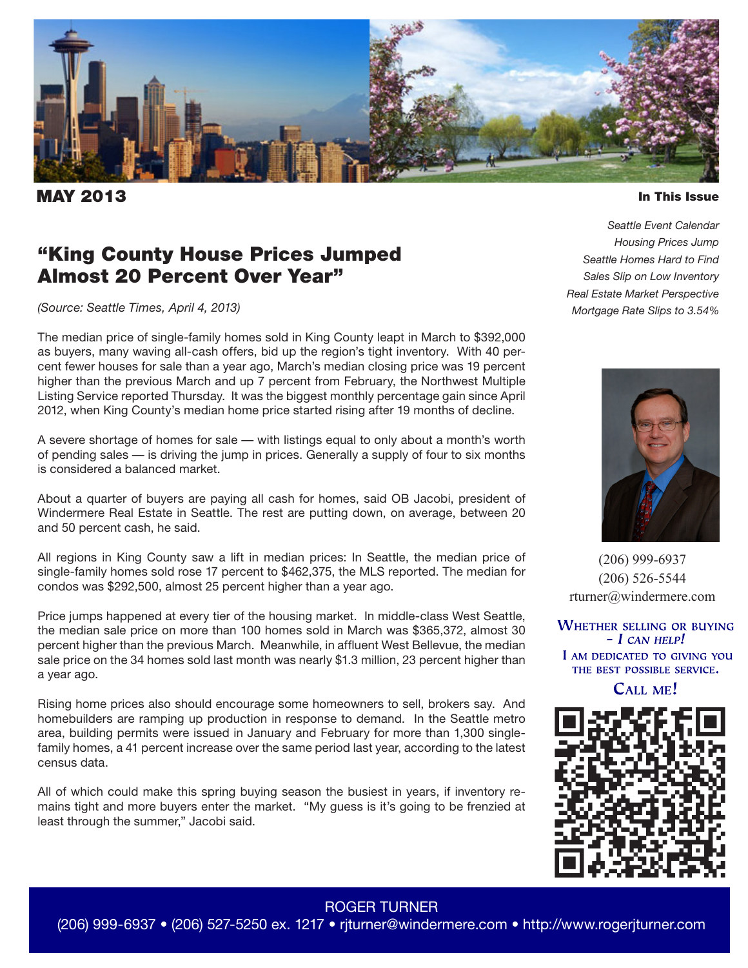

**IAY 2013** 

#### In This Issue

## "King County House Prices Jumped Almost 20 Percent Over Year"

*(Source: Seattle Times, April 4, 2013)*

The median price of single-family homes sold in King County leapt in March to \$392,000 as buyers, many waving all-cash offers, bid up the region's tight inventory. With 40 percent fewer houses for sale than a year ago, March's median closing price was 19 percent higher than the previous March and up 7 percent from February, the Northwest Multiple Listing Service reported Thursday. It was the biggest monthly percentage gain since April 2012, when King County's median home price started rising after 19 months of decline.

A severe shortage of homes for sale — with listings equal to only about a month's worth of pending sales — is driving the jump in prices. Generally a supply of four to six months is considered a balanced market.

About a quarter of buyers are paying all cash for homes, said OB Jacobi, president of Windermere Real Estate in Seattle. The rest are putting down, on average, between 20 and 50 percent cash, he said.

All regions in King County saw a lift in median prices: In Seattle, the median price of single-family homes sold rose 17 percent to \$462,375, the MLS reported. The median for condos was \$292,500, almost 25 percent higher than a year ago.

Price jumps happened at every tier of the housing market. In middle-class West Seattle, the median sale price on more than 100 homes sold in March was \$365,372, almost 30 percent higher than the previous March. Meanwhile, in affluent West Bellevue, the median sale price on the 34 homes sold last month was nearly \$1.3 million, 23 percent higher than a year ago.

Rising home prices also should encourage some homeowners to sell, brokers say. And homebuilders are ramping up production in response to demand. In the Seattle metro area, building permits were issued in January and February for more than 1,300 singlefamily homes, a 41 percent increase over the same period last year, according to the latest census data.

All of which could make this spring buying season the busiest in years, if inventory remains tight and more buyers enter the market. "My guess is it's going to be frenzied at least through the summer," Jacobi said.

*Seattle Event Calendar Housing Prices Jump Seattle Homes Hard to Find Sales Slip on Low Inventory Real Estate Market Perspective Mortgage Rate Slips to 3.54%*



(206) 999-6937 (206) 526-5544 rturner@windermere.com

**WHETHER SELLING OR BUYING**  $- I$  CAN HELP! I AM DEDICATED TO GIVING YOU THE BEST POSSIBLE SERVICE.

**CALL ME!** 



### ROGER TURNER

(206) 999-6937 • (206) 527-5250 ex. 1217 • rjturner@windermere.com • http://www.rogerjturner.com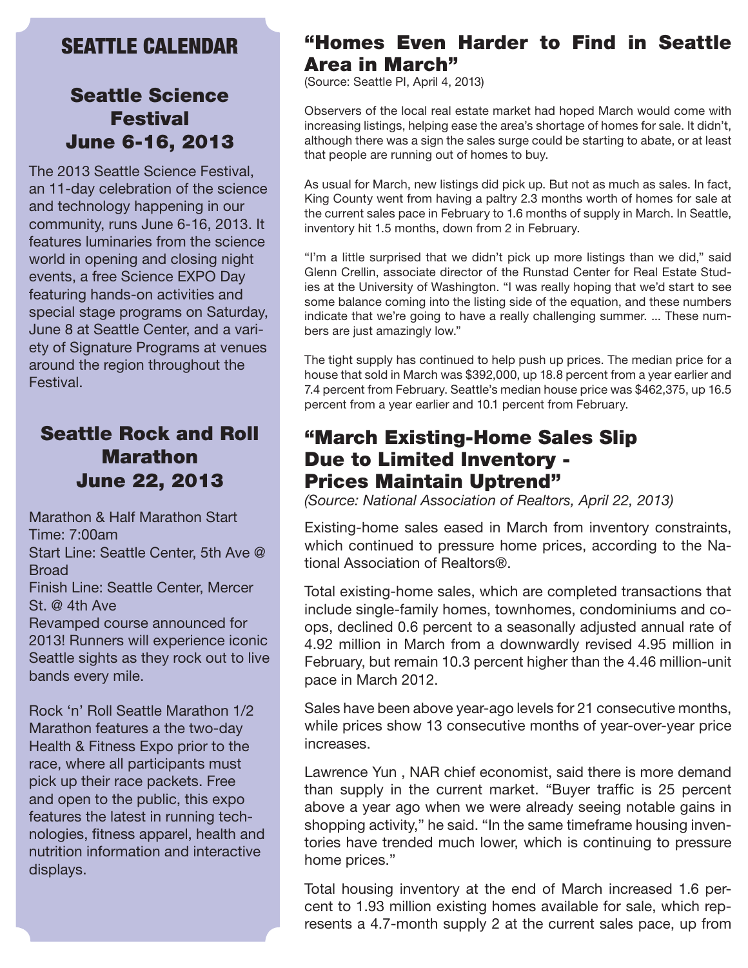## SEATTLE CALENDAR

## Seattle Science Festival June 6-16, 2013

The 2013 Seattle Science Festival, an 11-day celebration of the science and technology happening in our community, runs June 6-16, 2013. It features luminaries from the science world in opening and closing night events, a free Science EXPO Day featuring hands-on activities and special stage programs on Saturday, June 8 at Seattle Center, and a variety of Signature Programs at venues around the region throughout the Festival.

# Seattle Rock and Roll Marathon June 22, 2013

Marathon & Half Marathon Start Time: 7:00am Start Line: Seattle Center, 5th Ave @ **Broad** Finish Line: Seattle Center, Mercer St. @ 4th Ave Revamped course announced for 2013! Runners will experience iconic Seattle sights as they rock out to live bands every mile.

Rock 'n' Roll Seattle Marathon 1/2 Marathon features a the two-day Health & Fitness Expo prior to the race, where all participants must pick up their race packets. Free and open to the public, this expo features the latest in running technologies, fitness apparel, health and nutrition information and interactive displays.

## "Homes Even Harder to Find in Seattle Area in March"

(Source: Seattle PI, April 4, 2013)

Observers of the local real estate market had hoped March would come with increasing listings, helping ease the area's shortage of homes for sale. It didn't, although there was a sign the sales surge could be starting to abate, or at least that people are running out of homes to buy.

As usual for March, new listings did pick up. But not as much as sales. In fact, King County went from having a paltry 2.3 months worth of homes for sale at the current sales pace in February to 1.6 months of supply in March. In Seattle, inventory hit 1.5 months, down from 2 in February.

"I'm a little surprised that we didn't pick up more listings than we did," said Glenn Crellin, associate director of the Runstad Center for Real Estate Studies at the University of Washington. "I was really hoping that we'd start to see some balance coming into the listing side of the equation, and these numbers indicate that we're going to have a really challenging summer. ... These numbers are just amazingly low."

The tight supply has continued to help push up prices. The median price for a house that sold in March was \$392,000, up 18.8 percent from a year earlier and 7.4 percent from February. Seattle's median house price was \$462,375, up 16.5 percent from a year earlier and 10.1 percent from February.

## "March Existing-Home Sales Slip Due to Limited Inventory - Prices Maintain Uptrend"

*(Source: National Association of Realtors, April 22, 2013)*

Existing-home sales eased in March from inventory constraints, which continued to pressure home prices, according to the National Association of Realtors®.

Total existing-home sales, which are completed transactions that include single-family homes, townhomes, condominiums and coops, declined 0.6 percent to a seasonally adjusted annual rate of 4.92 million in March from a downwardly revised 4.95 million in February, but remain 10.3 percent higher than the 4.46 million-unit pace in March 2012.

Sales have been above year-ago levels for 21 consecutive months, while prices show 13 consecutive months of year-over-year price increases.

Lawrence Yun , NAR chief economist, said there is more demand than supply in the current market. "Buyer traffic is 25 percent above a year ago when we were already seeing notable gains in shopping activity," he said. "In the same timeframe housing inventories have trended much lower, which is continuing to pressure home prices."

Total housing inventory at the end of March increased 1.6 percent to 1.93 million existing homes available for sale, which represents a 4.7-month supply 2 at the current sales pace, up from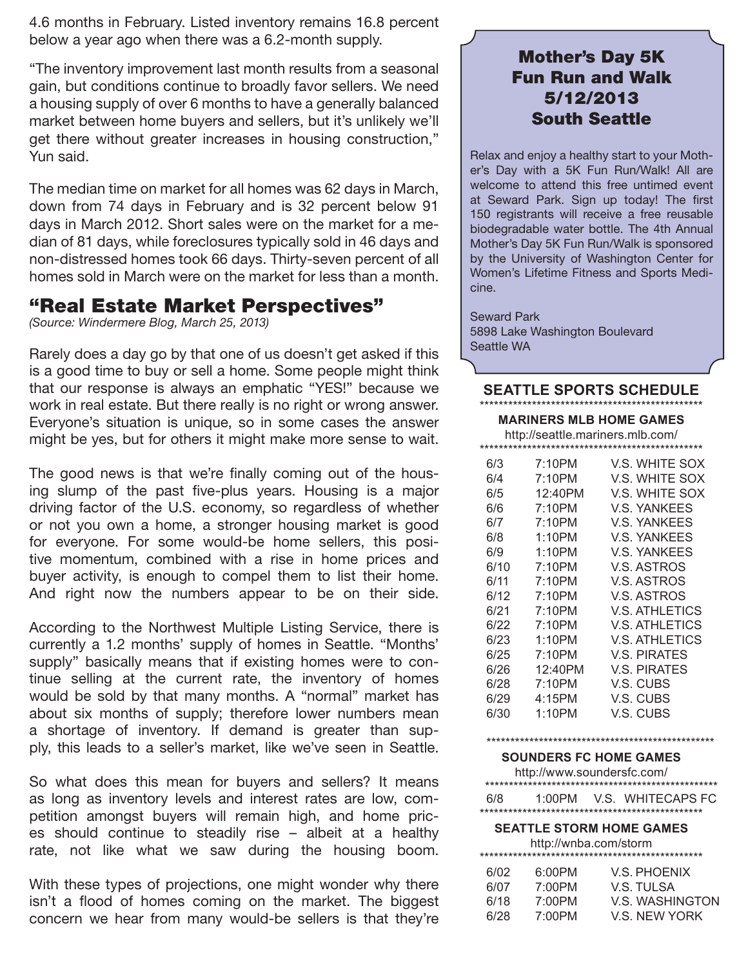4.6 months in February. Listed inventory remains 16.8 percent below a year ago when there was a 6.2-month supply.

"The inventory improvement last month results from a seasonal gain, but conditions continue to broadly favor sellers. We need a housing supply of over 6 months to have a generally balanced market between home buyers and sellers, but it's unlikely we'll get there without greater increases in housing construction," Yun said.

The median time on market for all homes was 62 days in March, down from 74 days in February and is 32 percent below 91 days in March 2012. Short sales were on the market for a median of 81 days, while foreclosures typically sold in 46 days and non-distressed homes took 66 days. Thirty-seven percent of all homes sold in March were on the market for less than a month.

### "Real Estate Market Perspectives"

*(Source: Windermere Blog, March 25, 2013)*

Rarely does a day go by that one of us doesn't get asked if this is a good time to buy or sell a home. Some people might think that our response is always an emphatic "YES!" because we work in real estate. But there really is no right or wrong answer. Everyone's situation is unique, so in some cases the answer might be yes, but for others it might make more sense to wait.

The good news is that we're finally coming out of the housing slump of the past five-plus years. Housing is a major driving factor of the U.S. economy, so regardless of whether or not you own a home, a stronger housing market is good for everyone. For some would-be home sellers, this positive momentum, combined with a rise in home prices and buyer activity, is enough to compel them to list their home. And right now the numbers appear to be on their side.

According to the Northwest Multiple Listing Service, there is currently a 1.2 months' supply of homes in Seattle. "Months' supply" basically means that if existing homes were to continue selling at the current rate, the inventory of homes would be sold by that many months. A "normal" market has about six months of supply; therefore lower numbers mean a shortage of inventory. If demand is greater than supply, this leads to a seller's market, like we've seen in Seattle.

So what does this mean for buyers and sellers? It means as long as inventory levels and interest rates are low, competition amongst buyers will remain high, and home prices should continue to steadily rise – albeit at a healthy rate, not like what we saw during the housing boom.

With these types of projections, one might wonder why there isn't a flood of homes coming on the market. The biggest concern we hear from many would-be sellers is that they're

## Mother's Day 5K Fun Run and Walk 5/12/2013 South Seattle

Relax and enjoy a healthy start to your Mother's Day with a 5K Fun Run/Walk! All are welcome to attend this free untimed event at Seward Park. Sign up today! The first 150 registrants will receive a free reusable biodegradable water bottle. The 4th Annual Mother's Day 5K Fun Run/Walk is sponsored by the University of Washington Center for Women's Lifetime Fitness and Sports Medicine.

Seward Park 5898 Lake Washington Boulevard Seattle WA

### **SEATTLE SPORTS SCHEDULE** \*\*\*\*\*\*\*\*\*\*\*\*\*\*\*\*\*\*\*\*\*\*\*\*\*\*\*\*\*\*\*\*\*\*\*\*\*\*\*\*\*\*\*\*\*\*\*

### **MARINERS MLB HOME GAMES**

http://seattle.mariners.mlb.com/

| 6/3  | 7:10PM  | V.S. WHITE SOX        |  |  |
|------|---------|-----------------------|--|--|
| 6/4  | 7:10PM  | V.S. WHITE SOX        |  |  |
| 6/5  | 12:40PM | V.S. WHITE SOX        |  |  |
| 6/6  | 7:10PM  | <b>V.S. YANKEES</b>   |  |  |
| 6/7  | 7:10PM  | <b>V.S. YANKEES</b>   |  |  |
| 6/8  | 1:10PM  | <b>V.S. YANKEES</b>   |  |  |
| 6/9  | 1:10PM  | <b>V.S. YANKEES</b>   |  |  |
| 6/10 | 7:10PM  | V.S. ASTROS           |  |  |
| 6/11 | 7:10PM  | V.S. ASTROS           |  |  |
| 6/12 | 7:10PM  | V.S. ASTROS           |  |  |
| 6/21 | 7:10PM  | V.S. ATHLETICS        |  |  |
| 6/22 | 7:10PM  | V.S. ATHLETICS        |  |  |
| 6/23 | 1:10PM  | <b>V.S. ATHLETICS</b> |  |  |
| 6/25 | 7:10PM  | V.S. PIRATES          |  |  |
| 6/26 | 12:40PM | V.S. PIRATES          |  |  |
| 6/28 | 7:10PM  | V.S. CUBS             |  |  |
| 6/29 | 4:15PM  | V.S. CUBS             |  |  |
| 6/30 | 1:10PM  | V.S. CUBS             |  |  |
|      |         |                       |  |  |

### \*\*\*\*\*\*\*\*\*\*\*\*\*\*\*\*\*\*\*\*\*\*\*\*\*\*\*\*\*\*\*\*\*\*\*\*\*\*\*\*\*\*\*\*\*\*\*\*

**SOUNDERS FC HOME GAMES**

| http://www.soundersfc.com/ |        |  |                   |  |
|----------------------------|--------|--|-------------------|--|
| 6/8                        | 1:00PM |  | V.S. WHITECAPS FC |  |
|                            |        |  |                   |  |

#### **SEATTLE STORM HOME GAMES** http://wnba.com/storm

| <b>IIIID.//WIIDd.CON/SIOHII</b> |        |                        |  |
|---------------------------------|--------|------------------------|--|
| 6/02                            | 6:00PM | V.S. PHOENIX           |  |
| 6/07                            | 7:00PM | V.S. TULSA             |  |
| 6/18                            | 7:00PM | <b>V.S. WASHINGTON</b> |  |
| 6/28                            | 7:00PM | V.S. NEW YORK          |  |